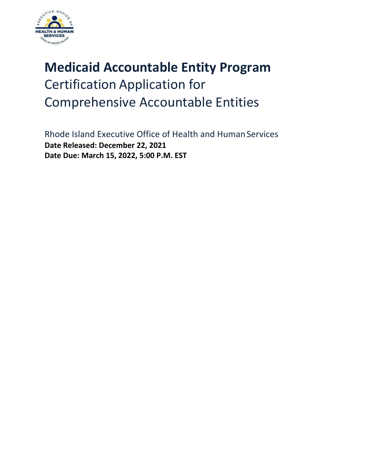

# **Medicaid Accountable Entity Program** Certification Application for Comprehensive Accountable Entities

Rhode Island Executive Office of Health and Human Services **Date Released: December 22, 2021 Date Due: March 15, 2022, 5:00 P.M. EST**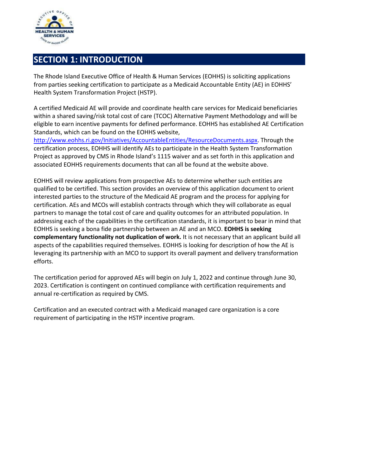

# **SECTION 1: INTRODUCTION**

The Rhode Island Executive Office of Health & Human Services (EOHHS) is soliciting applications from parties seeking certification to participate as a Medicaid Accountable Entity (AE) in EOHHS' Health System Transformation Project (HSTP).

A certified Medicaid AE will provide and coordinate health care services for Medicaid beneficiaries within a shared saving/risk total cost of care (TCOC) Alternative Payment Methodology and will be eligible to earn incentive payments for defined performance. EOHHS has established AE Certification Standards, which can be found on the EOHHS website,

[http://www.eohhs.ri.gov/Initiatives/AccountableEntities/ResourceDocuments.aspx.](http://www.eohhs.ri.gov/Initiatives/AccountableEntities/ResourceDocuments.aspx) Through the certification process, EOHHS will identify AEs to participate in the Health System Transformation Project as approved by CMS in Rhode Island's 1115 waiver and as set forth in this application and associated EOHHS requirements documents that can all be found at the website above.

EOHHS will review applications from prospective AEs to determine whether such entities are qualified to be certified. This section provides an overview of this application document to orient interested parties to the structure of the Medicaid AE program and the process for applying for certification. AEs and MCOs will establish contracts through which they will collaborate as equal partners to manage the total cost of care and quality outcomes for an attributed population. In addressing each of the capabilities in the certification standards, it is important to bear in mind that EOHHS is seeking a bona fide partnership between an AE and an MCO. **EOHHS is seeking complementary functionality not duplication of work.** It is not necessary that an applicant build all aspects of the capabilities required themselves. EOHHS is looking for description of how the AE is leveraging its partnership with an MCO to support its overall payment and delivery transformation efforts.

The certification period for approved AEs will begin on July 1, 2022 and continue through June 30, 2023. Certification is contingent on continued compliance with certification requirements and annual re-certification as required by CMS.

Certification and an executed contract with a Medicaid managed care organization is a core requirement of participating in the HSTP incentive program.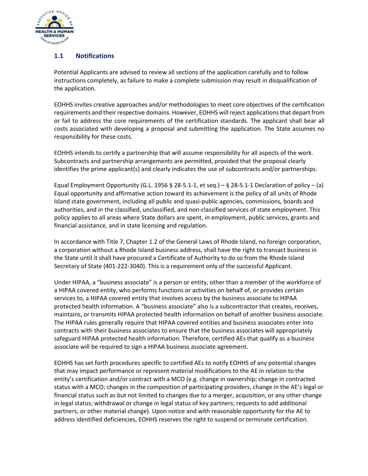

## **1.1 Notifications**

Potential Applicants are advised to review all sections of the application carefully and to follow instructions completely, as failure to make a complete submission may result in disqualification of the application.

EOHHS invites creative approaches and/or methodologies to meet core objectives of the certification requirements and their respective domains. However, EOHHS will reject applications that depart from or fail to address the core requirements of the certification standards. The applicant shall bear all costs associated with developing a proposal and submitting the application. The State assumes no responsibility for these costs.

EOHHS intends to certify a partnership that will assume responsibility for all aspects of the work. Subcontracts and partnership arrangements are permitted, provided that the proposal clearly identifies the prime applicant(s) and clearly indicates the use of subcontracts and/or partnerships.

Equal Employment Opportunity (G.L. 1956 § 28-5.1-1, et seq.) – § 28-5.1-1 Declaration of policy – (a) Equal opportunity and affirmative action toward its achievement is the policy of all units of Rhode Island state government, including all public and quasi-public agencies, commissions, boards and authorities, and in the classified, unclassified, and non-classified services of state employment. This policy applies to all areas where State dollars are spent, in employment, public services, grants and financial assistance, and in state licensing and regulation.

In accordance with Title 7, Chapter 1.2 of the General Laws of Rhode Island, no foreign corporation, a corporation without a Rhode Island business address, shall have the right to transact business in the State until it shall have procured a Certificate of Authority to do so from the Rhode Island Secretary of State (401-222-3040). This is a requirement only of the successful Applicant.

Under HIPAA, a "business associate" is a person or entity, other than a member of the workforce of a HIPAA covered entity, who performs functions or activities on behalf of, or provides certain services to, a HIPAA covered entity that involves access by the business associate to HIPAA protected health information. A "business associate" also is a subcontractor that creates, receives, maintains, or transmits HIPAA protected health information on behalf of another business associate. The HIPAA rules generally require that HIPAA covered entities and business associates enter into contracts with their business associates to ensure that the business associates will appropriately safeguard HIPAA protected health information. Therefore, certified AEs that qualify as a business associate will be required to sign a HIPAA business associate agreement.

EOHHS has set forth procedures specific to certified AEs to notify EOHHS of any potential changes that may impact performance or represent material modifications to the AE in relation to the entity's certification and/or contract with a MCO (e.g. change in ownership; change in contracted status with a MCO; changes in the composition of participating providers, change in the AE's legal or financial status such as but not limited to changes due to a merger, acquisition, or any other change in legal status; withdrawal or change in legal status of key partners; requests to add additional partners, or other material change). Upon notice and with reasonable opportunity for the AE to address identified deficiencies, EOHHS reserves the right to suspend or terminate certification.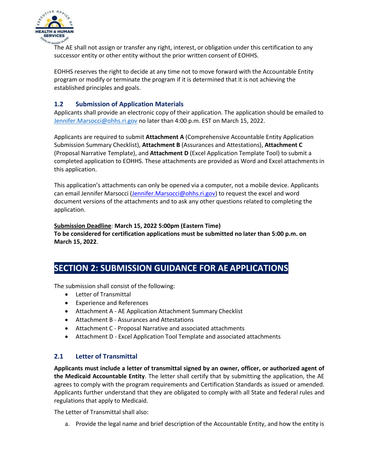

The AE shall not assign or transfer any right, interest, or obligation under this certification to any successor entity or other entity without the prior written consent of EOHHS.

EOHHS reserves the right to decide at any time not to move forward with the Accountable Entity program or modify or terminate the program if it is determined that it is not achieving the established principles and goals.

## **1.2 Submission of Application Materials**

Applicants shall provide an electronic copy of their application. The application should be emailed to [Jennifer.Marsocci@ohhs.ri.gov](mailto:Jennifer.Marsocci@ohhs.ri.gov) no later than 4:00 p.m. EST on March 15, 2022.

Applicants are required to submit **Attachment A** (Comprehensive Accountable Entity Application Submission Summary Checklist), **Attachment B** (Assurances and Attestations), **Attachment C** (Proposal Narrative Template), and **Attachment D** (Excel Application Template Tool) to submit a completed application to EOHHS. These attachments are provided as Word and Excel attachments in this application.

This application's attachments can only be opened via a computer, not a mobile device. Applicants can email Jennifer Marsocci [\(Jennifer.Marsocci@ohhs.ri.gov\)](mailto:Jennifer.Marsocci@ohhs.ri.gov) to request the excel and word document versions of the attachments and to ask any other questions related to completing the application.

#### **Submission Deadline**: **March 15, 2022 5:00pm (Eastern Time)**

**To be considered for certification applications must be submitted no later than 5:00 p.m. on March 15, 2022**.

# **SECTION 2: SUBMISSION GUIDANCE FOR AE APPLICATIONS**

The submission shall consist of the following:

- Letter of Transmittal
- Experience and References
- Attachment A AE Application Attachment Summary Checklist
- Attachment B Assurances and Attestations
- Attachment C Proposal Narrative and associated attachments
- Attachment D Excel Application Tool Template and associated attachments

#### **2.1 Letter of Transmittal**

**Applicants must include a letter of transmittal signed by an owner, officer, or authorized agent of the Medicaid Accountable Entity**. The letter shall certify that by submitting the application, the AE agrees to comply with the program requirements and Certification Standards as issued or amended. Applicants further understand that they are obligated to comply with all State and federal rules and regulations that apply to Medicaid.

The Letter of Transmittal shall also:

a. Provide the legal name and brief description of the Accountable Entity, and how the entity is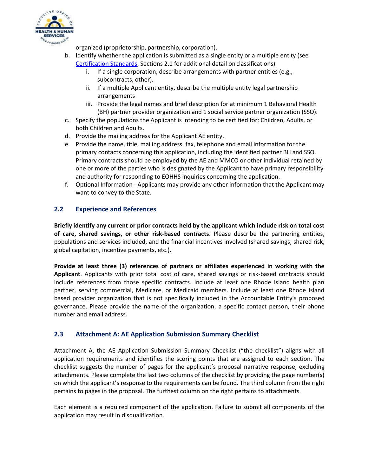

organized (proprietorship, partnership, corporation).

- b. Identify whether the application is submitted as a single entity or a multiple entity (see [Certification Standards,](https://eohhs.ri.gov/media/31931/download?language=en) Sections 2.1 for additional detail onclassifications)
	- i. If a single corporation, describe arrangements with partner entities (e.g., subcontracts, other).
	- ii. If a multiple Applicant entity, describe the multiple entity legal partnership arrangements
	- iii. Provide the legal names and brief description for at minimum 1 Behavioral Health (BH) partner provider organization and 1 social service partner organization (SSO).
- c. Specify the populations the Applicant is intending to be certified for: Children, Adults, or both Children and Adults.
- d. Provide the mailing address for the Applicant AE entity.
- e. Provide the name, title, mailing address, fax, telephone and email information for the primary contacts concerning this application, including the identified partner BH and SSO. Primary contracts should be employed by the AE and MMCO or other individual retained by one or more of the parties who is designated by the Applicant to have primary responsibility and authority for responding to EOHHS inquiries concerning the application.
- f. Optional Information Applicants may provide any other information that the Applicant may want to convey to the State.

#### **2.2 Experience and References**

**Briefly identify any current or prior contracts held by the applicant which include risk on total cost of care, shared savings, or other risk-based contracts**. Please describe the partnering entities, populations and services included, and the financial incentives involved (shared savings, shared risk, global capitation, incentive payments, etc.).

**Provide at least three (3) references of partners or affiliates experienced in working with the Applicant**. Applicants with prior total cost of care, shared savings or risk-based contracts should include references from those specific contracts. Include at least one Rhode Island health plan partner, serving commercial, Medicare, or Medicaid members. Include at least one Rhode Island based provider organization that is not specifically included in the Accountable Entity's proposed governance. Please provide the name of the organization, a specific contact person, their phone number and email address.

## **2.3 Attachment A: AE Application Submission Summary Checklist**

Attachment A, the AE Application Submission Summary Checklist ("the checklist") aligns with all application requirements and identifies the scoring points that are assigned to each section. The checklist suggests the number of pages for the applicant's proposal narrative response, excluding attachments. Please complete the last two columns of the checklist by providing the page number(s) on which the applicant's response to the requirements can be found. The third column from the right pertains to pages in the proposal. The furthest column on the right pertains to attachments.

Each element is a required component of the application. Failure to submit all components of the application may result in disqualification.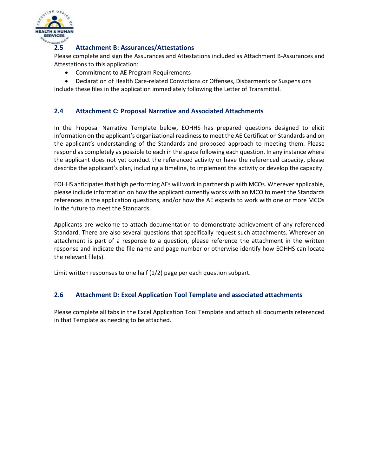

#### **2.5 Attachment B: Assurances/Attestations**

Please complete and sign the Assurances and Attestations included as Attachment B-Assurances and Attestations to this application:

- Commitment to AE Program Requirements
- Declaration of Health Care-related Convictions or Offenses, Disbarments or Suspensions Include these files in the application immediately following the Letter of Transmittal.

#### **2.4 Attachment C: Proposal Narrative and Associated Attachments**

In the Proposal Narrative Template below, EOHHS has prepared questions designed to elicit information on the applicant's organizational readiness to meet the AE Certification Standards and on the applicant's understanding of the Standards and proposed approach to meeting them. Please respond as completely as possible to each in the space following each question. In any instance where the applicant does not yet conduct the referenced activity or have the referenced capacity, please describe the applicant's plan, including a timeline, to implement the activity or develop the capacity.

EOHHS anticipates that high performing AEs will work in partnership with MCOs. Wherever applicable, please include information on how the applicant currently works with an MCO to meet the Standards references in the application questions, and/or how the AE expects to work with one or more MCOs in the future to meet the Standards.

Applicants are welcome to attach documentation to demonstrate achievement of any referenced Standard. There are also several questions that specifically request such attachments. Wherever an attachment is part of a response to a question, please reference the attachment in the written response and indicate the file name and page number or otherwise identify how EOHHS can locate the relevant file(s).

Limit written responses to one half (1/2) page per each question subpart.

#### **2.6 Attachment D: Excel Application Tool Template and associated attachments**

Please complete all tabs in the Excel Application Tool Template and attach all documents referenced in that Template as needing to be attached.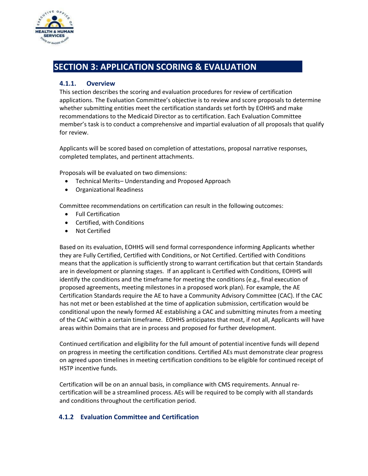

# **SECTION 3: APPLICATION SCORING & EVALUATION**

#### **4.1.1. Overview**

This section describes the scoring and evaluation procedures for review of certification applications. The Evaluation Committee's objective is to review and score proposals to determine whether submitting entities meet the certification standards set forth by EOHHS and make recommendations to the Medicaid Director as to certification. Each Evaluation Committee member's task is to conduct a comprehensive and impartial evaluation of all proposals that qualify for review.

Applicants will be scored based on completion of attestations, proposal narrative responses, completed templates, and pertinent attachments.

Proposals will be evaluated on two dimensions:

- Technical Merits– Understanding and Proposed Approach
- Organizational Readiness

Committee recommendations on certification can result in the following outcomes:

- Full Certification
- Certified, with Conditions
- Not Certified

Based on its evaluation, EOHHS will send formal correspondence informing Applicants whether they are Fully Certified, Certified with Conditions, or Not Certified. Certified with Conditions means that the application is sufficiently strong to warrant certification but that certain Standards are in development or planning stages. If an applicant is Certified with Conditions, EOHHS will identify the conditions and the timeframe for meeting the conditions (e.g., final execution of proposed agreements, meeting milestones in a proposed work plan). For example, the AE Certification Standards require the AE to have a Community Advisory Committee (CAC). If the CAC has not met or been established at the time of application submission, certification would be conditional upon the newly formed AE establishing a CAC and submitting minutes from a meeting of the CAC within a certain timeframe. EOHHS anticipates that most, if not all, Applicants will have areas within Domains that are in process and proposed for further development.

Continued certification and eligibility for the full amount of potential incentive funds will depend on progress in meeting the certification conditions. Certified AEs must demonstrate clear progress on agreed upon timelines in meeting certification conditions to be eligible for continued receipt of HSTP incentive funds.

Certification will be on an annual basis, in compliance with CMS requirements. Annual recertification will be a streamlined process. AEs will be required to be comply with all standards and conditions throughout the certification period.

#### **4.1.2 Evaluation Committee and Certification**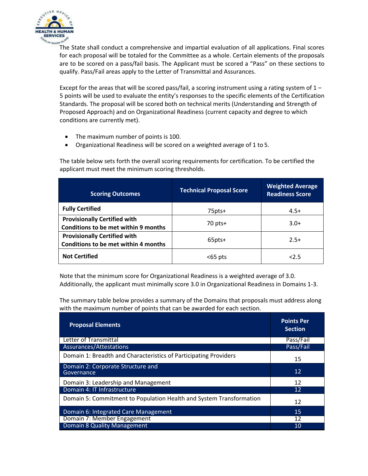

The State shall conduct a comprehensive and impartial evaluation of all applications. Final scores for each proposal will be totaled for the Committee as a whole. Certain elements of the proposals are to be scored on a pass/fail basis. The Applicant must be scored a "Pass" on these sections to qualify. Pass/Fail areas apply to the Letter of Transmittal and Assurances.

Except for the areas that will be scored pass/fail, a scoring instrument using a rating system of  $1 -$ 5 points will be used to evaluate the entity's responses to the specific elements of the Certification Standards. The proposal will be scored both on technical merits (Understanding and Strength of Proposed Approach) and on Organizational Readiness (current capacity and degree to which conditions are currently met).

- The maximum number of points is 100.
- Organizational Readiness will be scored on a weighted average of 1 to 5.

The table below sets forth the overall scoring requirements for certification. To be certified the applicant must meet the minimum scoring thresholds.

| <b>Scoring Outcomes</b>                                                            | <b>Technical Proposal Score</b> | <b>Weighted Average</b><br><b>Readiness Score</b> |
|------------------------------------------------------------------------------------|---------------------------------|---------------------------------------------------|
| <b>Fully Certified</b>                                                             | 75pts+                          | $4.5+$                                            |
| <b>Provisionally Certified with</b><br><b>Conditions to be met within 9 months</b> | $70$ pts+                       | $3.0+$                                            |
| <b>Provisionally Certified with</b><br>Conditions to be met within 4 months        | 65pts+                          | $2.5+$                                            |
| <b>Not Certified</b>                                                               | $65$ pts                        | 2.5                                               |

Note that the minimum score for Organizational Readiness is a weighted average of 3.0. Additionally, the applicant must minimally score 3.0 in Organizational Readiness in Domains 1-3.

The summary table below provides a summary of the Domains that proposals must address along with the maximum number of points that can be awarded for each section.

| <b>Proposal Elements</b>                                            | <b>Points Per</b><br><b>Section</b> |
|---------------------------------------------------------------------|-------------------------------------|
| Letter of Transmittal                                               | Pass/Fail                           |
| Assurances/Attestations                                             | Pass/Fail                           |
| Domain 1: Breadth and Characteristics of Participating Providers    | 15                                  |
| Domain 2: Corporate Structure and<br>Governance                     | 12                                  |
| Domain 3: Leadership and Management                                 | 12                                  |
| Domain 4: IT Infrastructure                                         | 12                                  |
| Domain 5: Commitment to Population Health and System Transformation | 12                                  |
| Domain 6: Integrated Care Management                                | 15                                  |
| Domain 7: Member Engagement                                         | 12                                  |
| Domain 8 Quality Management                                         | 10                                  |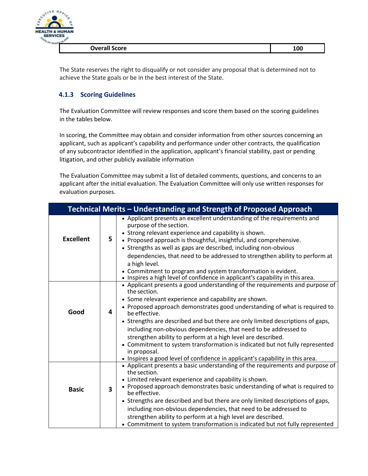

**Overall Score 100** 

The State reserves the right to disqualify or not consider any proposal that is determined not to achieve the State goals or be in the best interest of the State.

## **4.1.3 Scoring Guidelines**

The Evaluation Committee will review responses and score them based on the scoring guidelines in the tables below.

In scoring, the Committee may obtain and consider information from other sources concerning an applicant, such as applicant's capability and performance under other contracts, the qualification of any subcontractor identified in the application, applicant's financial stability, past or pending litigation, and other publicly available information

The Evaluation Committee may submit a list of detailed comments, questions, and concerns to an applicant after the initial evaluation. The Evaluation Committee will only use written responses for evaluation purposes.

| Technical Merits - Understanding and Strength of Proposed Approach |   |                                                                                                                                                                                                                                                                                                                                                                                                                                                                                                                                                               |
|--------------------------------------------------------------------|---|---------------------------------------------------------------------------------------------------------------------------------------------------------------------------------------------------------------------------------------------------------------------------------------------------------------------------------------------------------------------------------------------------------------------------------------------------------------------------------------------------------------------------------------------------------------|
| <b>Excellent</b>                                                   | 5 | • Applicant presents an excellent understanding of the requirements and<br>purpose of the section.<br>• Strong relevant experience and capability is shown.<br>• Proposed approach is thoughtful, insightful, and comprehensive.<br>• Strengths as well as gaps are described, including non-obvious<br>dependencies, that need to be addressed to strengthen ability to perform at<br>a high level.<br>• Commitment to program and system transformation is evident.<br>• Inspires a high level of confidence in applicant's capability in this area.        |
| Good                                                               | 4 | • Applicant presents a good understanding of the requirements and purpose of<br>the section.<br>• Some relevant experience and capability are shown.<br>• Proposed approach demonstrates good understanding of what is required to<br>be effective.<br>• Strengths are described and but there are only limited descriptions of gaps,<br>including non-obvious dependencies, that need to be addressed to<br>strengthen ability to perform at a high level are described.                                                                                     |
|                                                                    |   | • Commitment to system transformation is indicated but not fully represented<br>in proposal.<br>• Inspires a good level of confidence in applicant's capability in this area.                                                                                                                                                                                                                                                                                                                                                                                 |
| <b>Basic</b>                                                       | 3 | • Applicant presents a basic understanding of the requirements and purpose of<br>the section.<br>• Limited relevant experience and capability is shown.<br>• Proposed approach demonstrates basic understanding of what is required to<br>be effective.<br>• Strengths are described and but there are only limited descriptions of gaps,<br>including non-obvious dependencies, that need to be addressed to<br>strengthen ability to perform at a high level are described.<br>• Commitment to system transformation is indicated but not fully represented |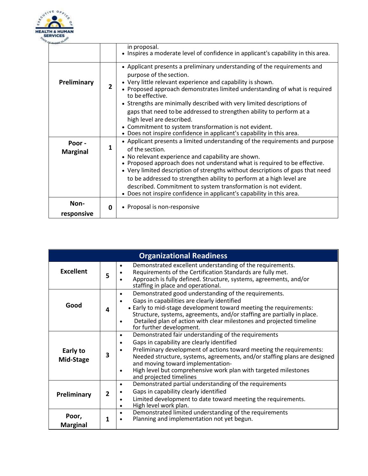

|                           |   | in proposal.<br>• Inspires a moderate level of confidence in applicant's capability in this area.                                                                                                                                                                                                                                                                                                                                                                                                                                     |  |
|---------------------------|---|---------------------------------------------------------------------------------------------------------------------------------------------------------------------------------------------------------------------------------------------------------------------------------------------------------------------------------------------------------------------------------------------------------------------------------------------------------------------------------------------------------------------------------------|--|
| Preliminary               | 2 | • Applicant presents a preliminary understanding of the requirements and<br>purpose of the section.<br>• Very little relevant experience and capability is shown.<br>• Proposed approach demonstrates limited understanding of what is required<br>to be effective.<br>• Strengths are minimally described with very limited descriptions of<br>gaps that need to be addressed to strengthen ability to perform at a<br>high level are described.<br>• Commitment to system transformation is not evident.                            |  |
|                           |   | • Does not inspire confidence in applicant's capability in this area.                                                                                                                                                                                                                                                                                                                                                                                                                                                                 |  |
| Poor -<br><b>Marginal</b> | 1 | • Applicant presents a limited understanding of the requirements and purpose<br>of the section.<br>• No relevant experience and capability are shown.<br>• Proposed approach does not understand what is required to be effective.<br>• Very limited description of strengths without descriptions of gaps that need<br>to be addressed to strengthen ability to perform at a high level are<br>described. Commitment to system transformation is not evident.<br>Does not inspire confidence in applicant's capability in this area. |  |
| Non-<br>responsive        | 0 | • Proposal is non-responsive                                                                                                                                                                                                                                                                                                                                                                                                                                                                                                          |  |

| <b>Organizational Readiness</b> |   |                                                                                                                                                                                                                                                                                                                                                                                                                   |  |
|---------------------------------|---|-------------------------------------------------------------------------------------------------------------------------------------------------------------------------------------------------------------------------------------------------------------------------------------------------------------------------------------------------------------------------------------------------------------------|--|
| <b>Excellent</b>                | 5 | Demonstrated excellent understanding of the requirements.<br>٠<br>Requirements of the Certification Standards are fully met.<br>Approach is fully defined. Structure, systems, agreements, and/or<br>staffing in place and operational.                                                                                                                                                                           |  |
| Good                            | 4 | Demonstrated good understanding of the requirements.<br>Gaps in capabilities are clearly identified<br>• Early to mid-stage development toward meeting the requirements:<br>Structure, systems, agreements, and/or staffing are partially in place.<br>Detailed plan of action with clear milestones and projected timeline<br>for further development.                                                           |  |
| Early to<br>Mid-Stage           | 3 | Demonstrated fair understanding of the requirements<br>$\bullet$<br>Gaps in capability are clearly identified<br>$\bullet$<br>Preliminary development of actions toward meeting the requirements:<br>Needed structure, systems, agreements, and/or staffing plans are designed<br>and moving toward implementation-<br>High level but comprehensive work plan with targeted milestones<br>and projected timelines |  |
| Preliminary                     |   | Demonstrated partial understanding of the requirements<br>٠<br>Gaps in capability clearly identified<br>Limited development to date toward meeting the requirements.<br>٠<br>High level work plan.                                                                                                                                                                                                                |  |
| Poor,<br><b>Marginal</b>        |   | Demonstrated limited understanding of the requirements<br>$\bullet$<br>Planning and implementation not yet begun.                                                                                                                                                                                                                                                                                                 |  |